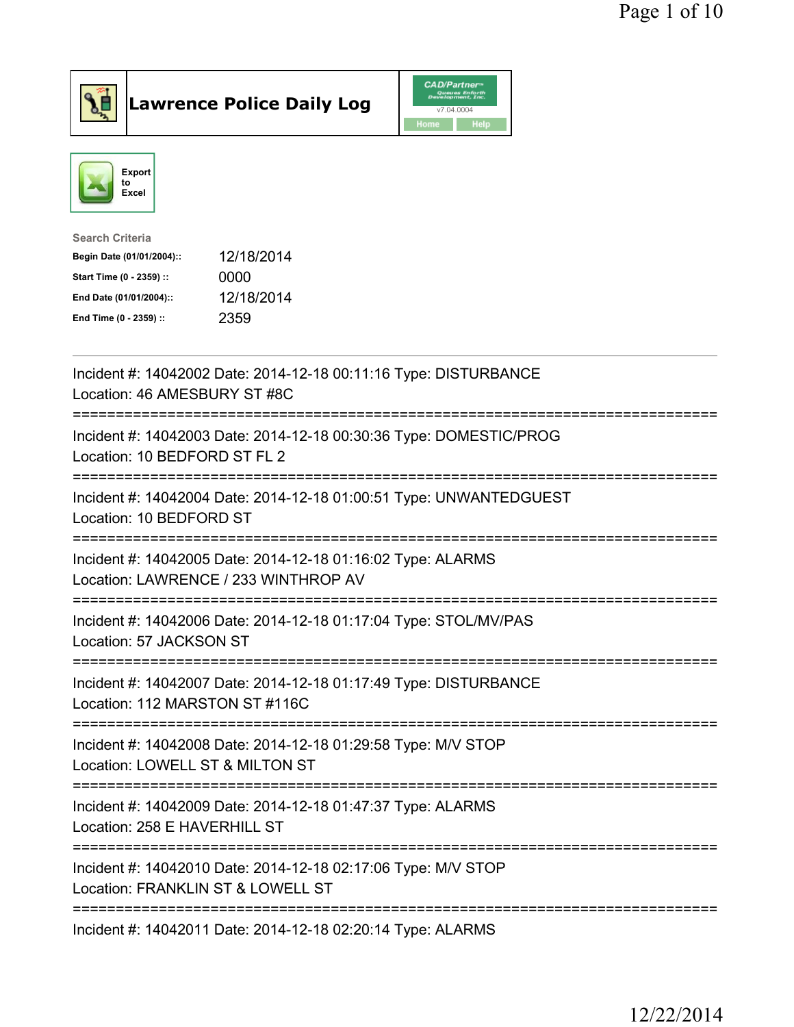



| <b>Search Criteria</b>    |            |
|---------------------------|------------|
| Begin Date (01/01/2004):: | 12/18/2014 |
| Start Time (0 - 2359) ::  | 0000       |
| End Date (01/01/2004)::   | 12/18/2014 |
| End Time (0 - 2359) ::    | 2359       |
|                           |            |

| Incident #: 14042002 Date: 2014-12-18 00:11:16 Type: DISTURBANCE<br>Location: 46 AMESBURY ST #8C                                                    |
|-----------------------------------------------------------------------------------------------------------------------------------------------------|
| Incident #: 14042003 Date: 2014-12-18 00:30:36 Type: DOMESTIC/PROG<br>Location: 10 BEDFORD ST FL 2                                                  |
| Incident #: 14042004 Date: 2014-12-18 01:00:51 Type: UNWANTEDGUEST<br>Location: 10 BEDFORD ST                                                       |
| Incident #: 14042005 Date: 2014-12-18 01:16:02 Type: ALARMS<br>Location: LAWRENCE / 233 WINTHROP AV<br>=============================                |
| Incident #: 14042006 Date: 2014-12-18 01:17:04 Type: STOL/MV/PAS<br>Location: 57 JACKSON ST<br>====================                                 |
| Incident #: 14042007 Date: 2014-12-18 01:17:49 Type: DISTURBANCE<br>Location: 112 MARSTON ST #116C                                                  |
| Incident #: 14042008 Date: 2014-12-18 01:29:58 Type: M/V STOP<br>Location: LOWELL ST & MILTON ST<br>--------------------------<br>----------------- |
| Incident #: 14042009 Date: 2014-12-18 01:47:37 Type: ALARMS<br>Location: 258 E HAVERHILL ST                                                         |
| Incident #: 14042010 Date: 2014-12-18 02:17:06 Type: M/V STOP<br>Location: FRANKLIN ST & LOWELL ST                                                  |
| Incident #: 14042011 Date: 2014-12-18 02:20:14 Type: ALARMS                                                                                         |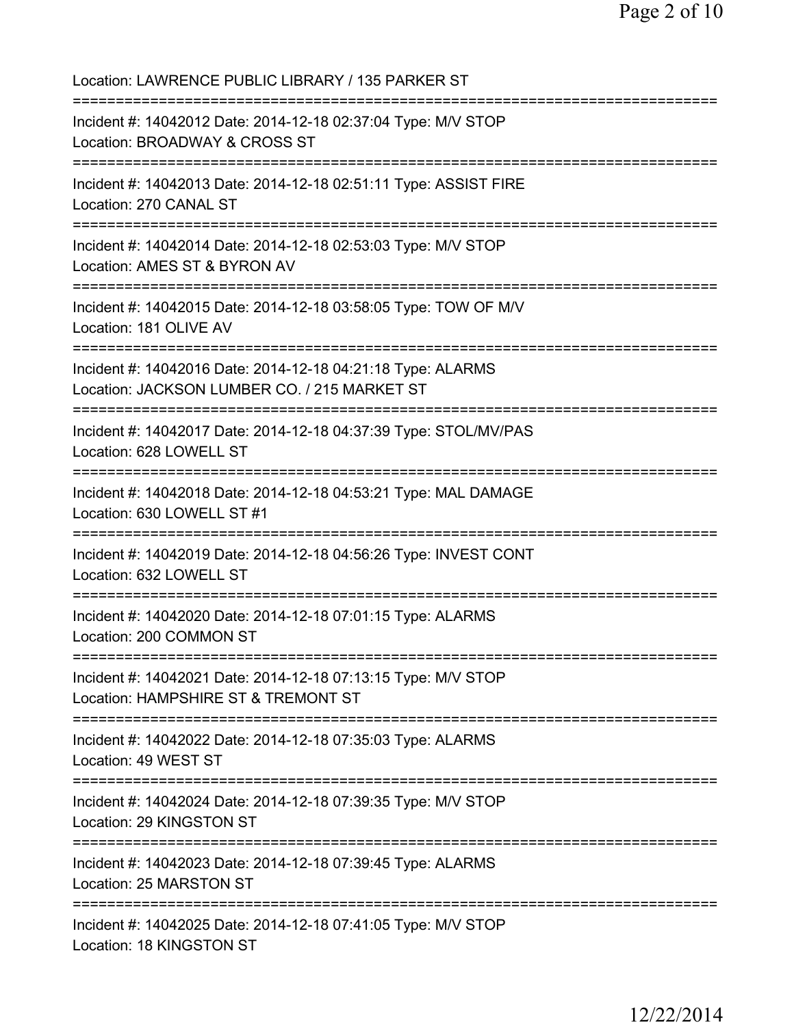Location: LAWRENCE PUBLIC LIBRARY / 135 PARKER ST =========================================================================== Incident #: 14042012 Date: 2014-12-18 02:37:04 Type: M/V STOP Location: BROADWAY & CROSS ST =========================================================================== Incident #: 14042013 Date: 2014-12-18 02:51:11 Type: ASSIST FIRE Location: 270 CANAL ST =========================================================================== Incident #: 14042014 Date: 2014-12-18 02:53:03 Type: M/V STOP Location: AMES ST & BYRON AV =========================================================================== Incident #: 14042015 Date: 2014-12-18 03:58:05 Type: TOW OF M/V Location: 181 OLIVE AV =========================================================================== Incident #: 14042016 Date: 2014-12-18 04:21:18 Type: ALARMS Location: JACKSON LUMBER CO. / 215 MARKET ST =========================================================================== Incident #: 14042017 Date: 2014-12-18 04:37:39 Type: STOL/MV/PAS Location: 628 LOWELL ST =========================================================================== Incident #: 14042018 Date: 2014-12-18 04:53:21 Type: MAL DAMAGE Location: 630 LOWELL ST #1 =========================================================================== Incident #: 14042019 Date: 2014-12-18 04:56:26 Type: INVEST CONT Location: 632 LOWELL ST =========================================================================== Incident #: 14042020 Date: 2014-12-18 07:01:15 Type: ALARMS Location: 200 COMMON ST =========================================================================== Incident #: 14042021 Date: 2014-12-18 07:13:15 Type: M/V STOP Location: HAMPSHIRE ST & TREMONT ST =========================================================================== Incident #: 14042022 Date: 2014-12-18 07:35:03 Type: ALARMS Location: 49 WEST ST =========================================================================== Incident #: 14042024 Date: 2014-12-18 07:39:35 Type: M/V STOP Location: 29 KINGSTON ST =========================================================================== Incident #: 14042023 Date: 2014-12-18 07:39:45 Type: ALARMS Location: 25 MARSTON ST =========================================================================== Incident #: 14042025 Date: 2014-12-18 07:41:05 Type: M/V STOP Location: 18 KINGSTON ST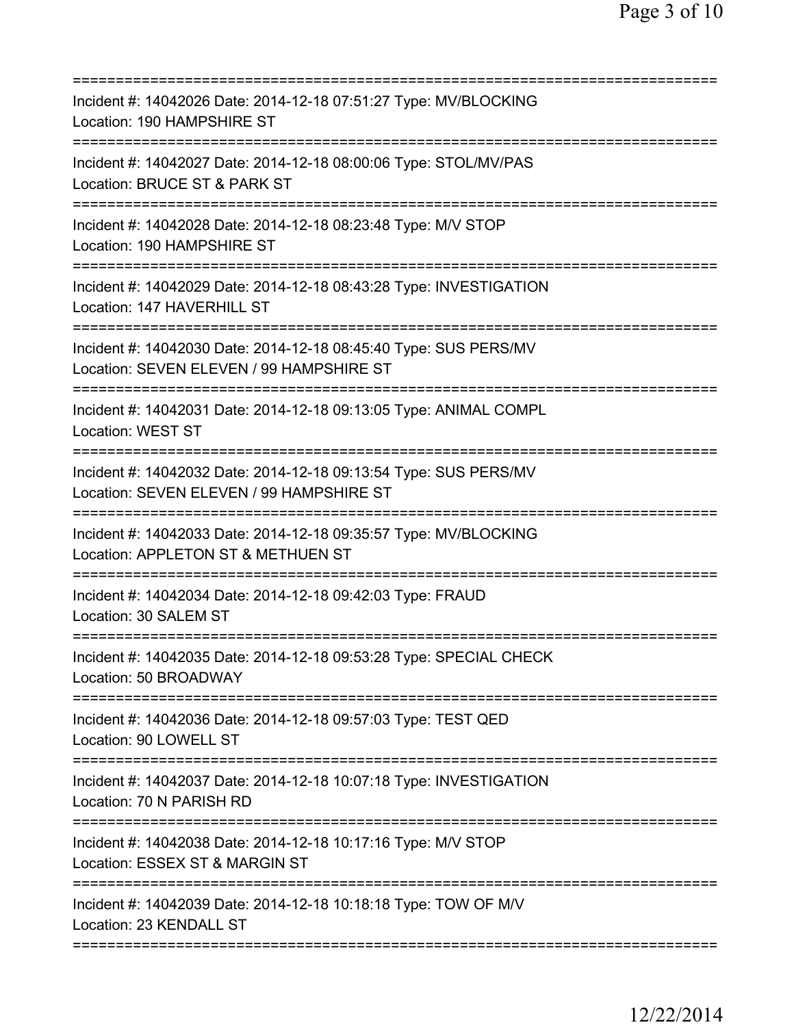| Incident #: 14042026 Date: 2014-12-18 07:51:27 Type: MV/BLOCKING<br>Location: 190 HAMPSHIRE ST               |
|--------------------------------------------------------------------------------------------------------------|
| Incident #: 14042027 Date: 2014-12-18 08:00:06 Type: STOL/MV/PAS<br>Location: BRUCE ST & PARK ST             |
| Incident #: 14042028 Date: 2014-12-18 08:23:48 Type: M/V STOP<br>Location: 190 HAMPSHIRE ST                  |
| Incident #: 14042029 Date: 2014-12-18 08:43:28 Type: INVESTIGATION<br>Location: 147 HAVERHILL ST             |
| Incident #: 14042030 Date: 2014-12-18 08:45:40 Type: SUS PERS/MV<br>Location: SEVEN ELEVEN / 99 HAMPSHIRE ST |
| Incident #: 14042031 Date: 2014-12-18 09:13:05 Type: ANIMAL COMPL<br>Location: WEST ST                       |
| Incident #: 14042032 Date: 2014-12-18 09:13:54 Type: SUS PERS/MV<br>Location: SEVEN ELEVEN / 99 HAMPSHIRE ST |
| Incident #: 14042033 Date: 2014-12-18 09:35:57 Type: MV/BLOCKING<br>Location: APPLETON ST & METHUEN ST       |
| Incident #: 14042034 Date: 2014-12-18 09:42:03 Type: FRAUD<br>Location: 30 SALEM ST                          |
| Incident #: 14042035 Date: 2014-12-18 09:53:28 Type: SPECIAL CHECK<br>Location: 50 BROADWAY                  |
| Incident #: 14042036 Date: 2014-12-18 09:57:03 Type: TEST QED<br>Location: 90 LOWELL ST                      |
| Incident #: 14042037 Date: 2014-12-18 10:07:18 Type: INVESTIGATION<br>Location: 70 N PARISH RD               |
| Incident #: 14042038 Date: 2014-12-18 10:17:16 Type: M/V STOP<br>Location: ESSEX ST & MARGIN ST              |
| Incident #: 14042039 Date: 2014-12-18 10:18:18 Type: TOW OF M/V<br>Location: 23 KENDALL ST                   |
|                                                                                                              |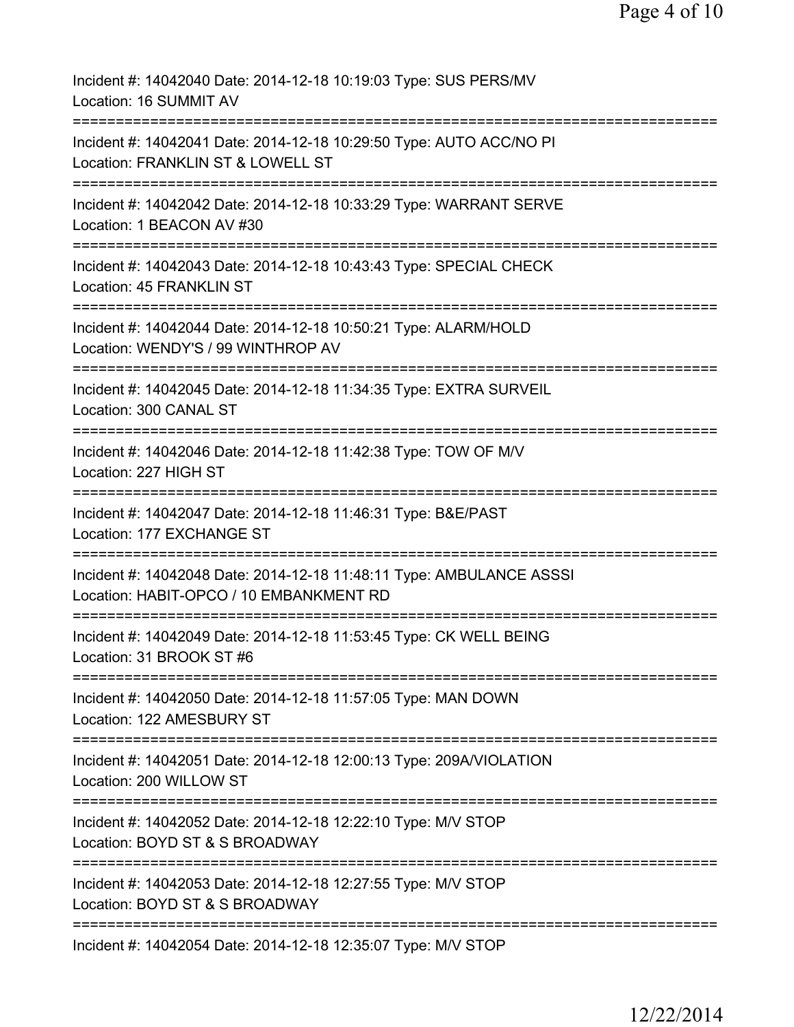| Incident #: 14042040 Date: 2014-12-18 10:19:03 Type: SUS PERS/MV<br>Location: 16 SUMMIT AV                                       |
|----------------------------------------------------------------------------------------------------------------------------------|
| Incident #: 14042041 Date: 2014-12-18 10:29:50 Type: AUTO ACC/NO PI<br>Location: FRANKLIN ST & LOWELL ST                         |
| Incident #: 14042042 Date: 2014-12-18 10:33:29 Type: WARRANT SERVE<br>Location: 1 BEACON AV #30                                  |
| Incident #: 14042043 Date: 2014-12-18 10:43:43 Type: SPECIAL CHECK<br>Location: 45 FRANKLIN ST                                   |
| Incident #: 14042044 Date: 2014-12-18 10:50:21 Type: ALARM/HOLD<br>Location: WENDY'S / 99 WINTHROP AV                            |
| Incident #: 14042045 Date: 2014-12-18 11:34:35 Type: EXTRA SURVEIL<br>Location: 300 CANAL ST                                     |
| Incident #: 14042046 Date: 2014-12-18 11:42:38 Type: TOW OF M/V<br>Location: 227 HIGH ST                                         |
| Incident #: 14042047 Date: 2014-12-18 11:46:31 Type: B&E/PAST<br>Location: 177 EXCHANGE ST<br>------------                       |
| Incident #: 14042048 Date: 2014-12-18 11:48:11 Type: AMBULANCE ASSSI<br>Location: HABIT-OPCO / 10 EMBANKMENT RD                  |
| Incident #: 14042049 Date: 2014-12-18 11:53:45 Type: CK WELL BEING<br>Location: 31 BROOK ST #6                                   |
| Incident #: 14042050 Date: 2014-12-18 11:57:05 Type: MAN DOWN<br>Location: 122 AMESBURY ST                                       |
| Incident #: 14042051 Date: 2014-12-18 12:00:13 Type: 209A/VIOLATION<br>Location: 200 WILLOW ST                                   |
| Incident #: 14042052 Date: 2014-12-18 12:22:10 Type: M/V STOP<br>Location: BOYD ST & S BROADWAY                                  |
| =============================<br>Incident #: 14042053 Date: 2014-12-18 12:27:55 Type: M/V STOP<br>Location: BOYD ST & S BROADWAY |
| Incident #: 14042054 Date: 2014-12-18 12:35:07 Type: M/V STOP                                                                    |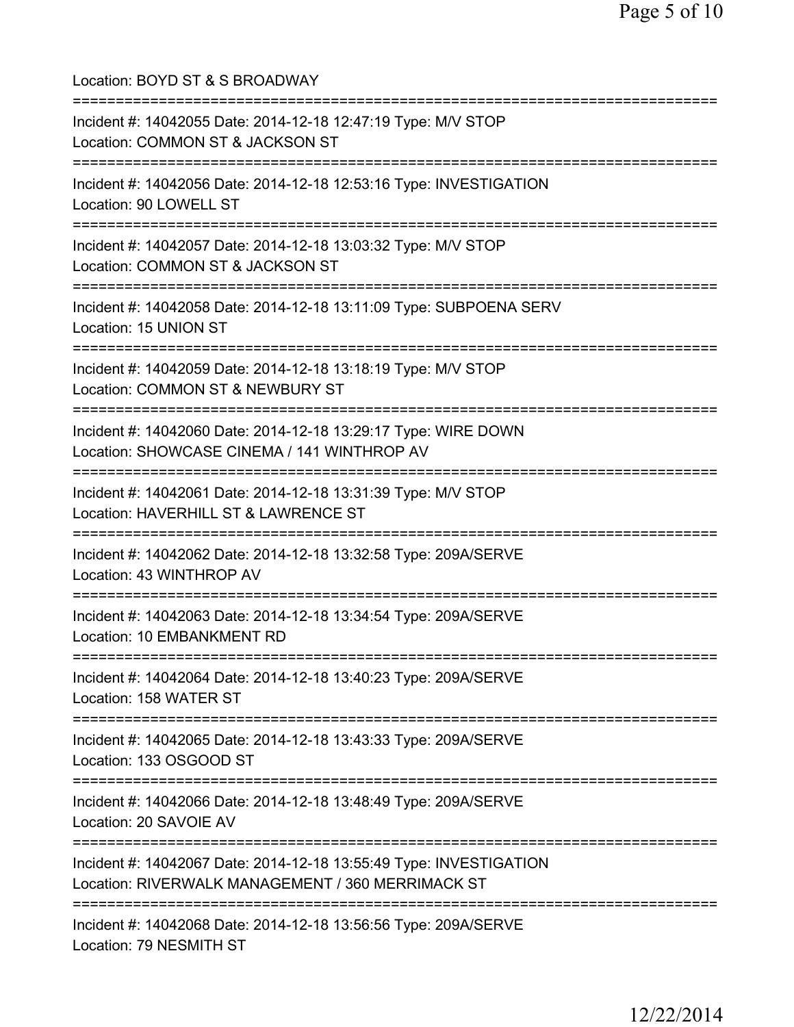Location: BOYD ST & S BROADWAY =========================================================================== Incident #: 14042055 Date: 2014-12-18 12:47:19 Type: M/V STOP Location: COMMON ST & JACKSON ST =========================================================================== Incident #: 14042056 Date: 2014-12-18 12:53:16 Type: INVESTIGATION Location: 90 LOWELL ST =========================================================================== Incident #: 14042057 Date: 2014-12-18 13:03:32 Type: M/V STOP Location: COMMON ST & JACKSON ST =========================================================================== Incident #: 14042058 Date: 2014-12-18 13:11:09 Type: SUBPOENA SERV Location: 15 UNION ST =========================================================================== Incident #: 14042059 Date: 2014-12-18 13:18:19 Type: M/V STOP Location: COMMON ST & NEWBURY ST =========================================================================== Incident #: 14042060 Date: 2014-12-18 13:29:17 Type: WIRE DOWN Location: SHOWCASE CINEMA / 141 WINTHROP AV =========================================================================== Incident #: 14042061 Date: 2014-12-18 13:31:39 Type: M/V STOP Location: HAVERHILL ST & LAWRENCE ST =========================================================================== Incident #: 14042062 Date: 2014-12-18 13:32:58 Type: 209A/SERVE Location: 43 WINTHROP AV =========================================================================== Incident #: 14042063 Date: 2014-12-18 13:34:54 Type: 209A/SERVE Location: 10 EMBANKMENT RD =========================================================================== Incident #: 14042064 Date: 2014-12-18 13:40:23 Type: 209A/SERVE Location: 158 WATER ST =========================================================================== Incident #: 14042065 Date: 2014-12-18 13:43:33 Type: 209A/SERVE Location: 133 OSGOOD ST =========================================================================== Incident #: 14042066 Date: 2014-12-18 13:48:49 Type: 209A/SERVE Location: 20 SAVOIE AV =========================================================================== Incident #: 14042067 Date: 2014-12-18 13:55:49 Type: INVESTIGATION Location: RIVERWALK MANAGEMENT / 360 MERRIMACK ST =========================================================================== Incident #: 14042068 Date: 2014-12-18 13:56:56 Type: 209A/SERVE Location: 79 NESMITH ST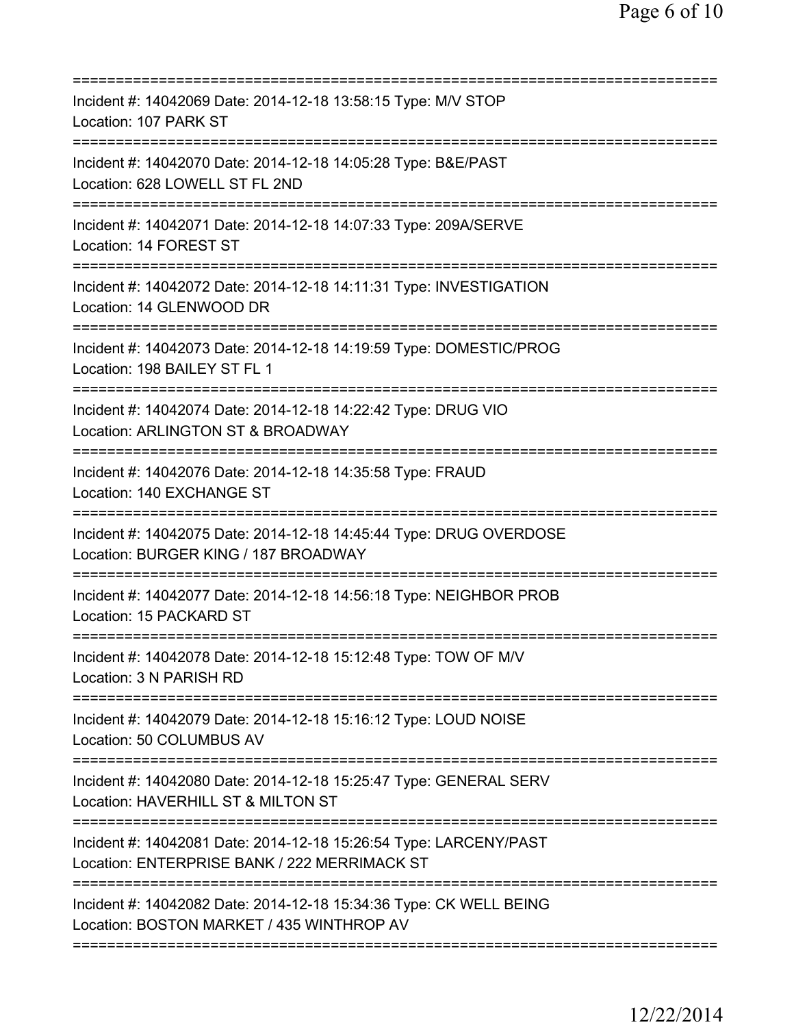| Incident #: 14042069 Date: 2014-12-18 13:58:15 Type: M/V STOP<br>Location: 107 PARK ST                                                    |
|-------------------------------------------------------------------------------------------------------------------------------------------|
| Incident #: 14042070 Date: 2014-12-18 14:05:28 Type: B&E/PAST<br>Location: 628 LOWELL ST FL 2ND                                           |
| Incident #: 14042071 Date: 2014-12-18 14:07:33 Type: 209A/SERVE<br>Location: 14 FOREST ST                                                 |
| Incident #: 14042072 Date: 2014-12-18 14:11:31 Type: INVESTIGATION<br>Location: 14 GLENWOOD DR                                            |
| Incident #: 14042073 Date: 2014-12-18 14:19:59 Type: DOMESTIC/PROG<br>Location: 198 BAILEY ST FL 1                                        |
| Incident #: 14042074 Date: 2014-12-18 14:22:42 Type: DRUG VIO<br>Location: ARLINGTON ST & BROADWAY<br>======================              |
| Incident #: 14042076 Date: 2014-12-18 14:35:58 Type: FRAUD<br>Location: 140 EXCHANGE ST                                                   |
| Incident #: 14042075 Date: 2014-12-18 14:45:44 Type: DRUG OVERDOSE<br>Location: BURGER KING / 187 BROADWAY<br>=========================== |
| Incident #: 14042077 Date: 2014-12-18 14:56:18 Type: NEIGHBOR PROB<br>Location: 15 PACKARD ST                                             |
| Incident #: 14042078 Date: 2014-12-18 15:12:48 Type: TOW OF M/V<br>Location: 3 N PARISH RD                                                |
| Incident #: 14042079 Date: 2014-12-18 15:16:12 Type: LOUD NOISE<br>Location: 50 COLUMBUS AV                                               |
| Incident #: 14042080 Date: 2014-12-18 15:25:47 Type: GENERAL SERV<br>Location: HAVERHILL ST & MILTON ST                                   |
| Incident #: 14042081 Date: 2014-12-18 15:26:54 Type: LARCENY/PAST<br>Location: ENTERPRISE BANK / 222 MERRIMACK ST                         |
| Incident #: 14042082 Date: 2014-12-18 15:34:36 Type: CK WELL BEING<br>Location: BOSTON MARKET / 435 WINTHROP AV                           |
|                                                                                                                                           |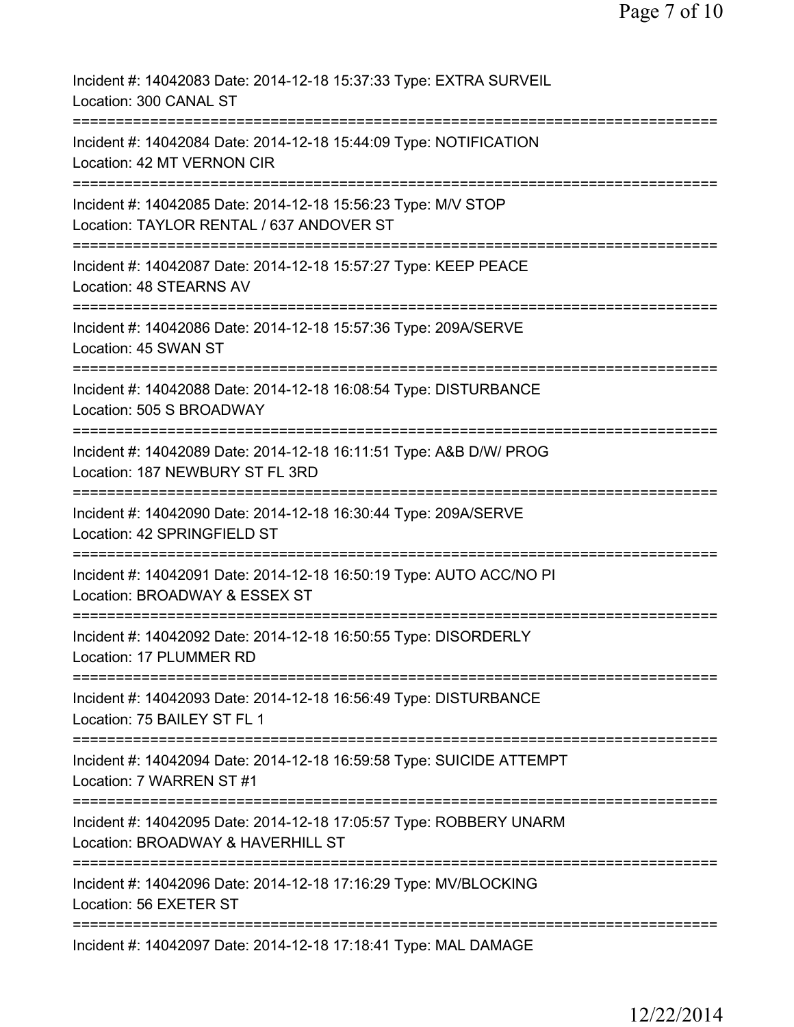| Incident #: 14042083 Date: 2014-12-18 15:37:33 Type: EXTRA SURVEIL<br>Location: 300 CANAL ST                          |
|-----------------------------------------------------------------------------------------------------------------------|
| Incident #: 14042084 Date: 2014-12-18 15:44:09 Type: NOTIFICATION<br>Location: 42 MT VERNON CIR                       |
| Incident #: 14042085 Date: 2014-12-18 15:56:23 Type: M/V STOP<br>Location: TAYLOR RENTAL / 637 ANDOVER ST             |
| Incident #: 14042087 Date: 2014-12-18 15:57:27 Type: KEEP PEACE<br>Location: 48 STEARNS AV                            |
| Incident #: 14042086 Date: 2014-12-18 15:57:36 Type: 209A/SERVE<br>Location: 45 SWAN ST                               |
| Incident #: 14042088 Date: 2014-12-18 16:08:54 Type: DISTURBANCE<br>Location: 505 S BROADWAY                          |
| Incident #: 14042089 Date: 2014-12-18 16:11:51 Type: A&B D/W/ PROG<br>Location: 187 NEWBURY ST FL 3RD<br>============ |
| Incident #: 14042090 Date: 2014-12-18 16:30:44 Type: 209A/SERVE<br>Location: 42 SPRINGFIELD ST                        |
| Incident #: 14042091 Date: 2014-12-18 16:50:19 Type: AUTO ACC/NO PI<br>Location: BROADWAY & ESSEX ST                  |
| Incident #: 14042092 Date: 2014-12-18 16:50:55 Type: DISORDERLY<br>Location: 17 PLUMMER RD                            |
| Incident #: 14042093 Date: 2014-12-18 16:56:49 Type: DISTURBANCE<br>Location: 75 BAILEY ST FL 1                       |
| Incident #: 14042094 Date: 2014-12-18 16:59:58 Type: SUICIDE ATTEMPT<br>Location: 7 WARREN ST #1                      |
| Incident #: 14042095 Date: 2014-12-18 17:05:57 Type: ROBBERY UNARM<br>Location: BROADWAY & HAVERHILL ST               |
| Incident #: 14042096 Date: 2014-12-18 17:16:29 Type: MV/BLOCKING<br>Location: 56 EXETER ST                            |
| Incident #: 14042097 Date: 2014-12-18 17:18:41 Type: MAL DAMAGE                                                       |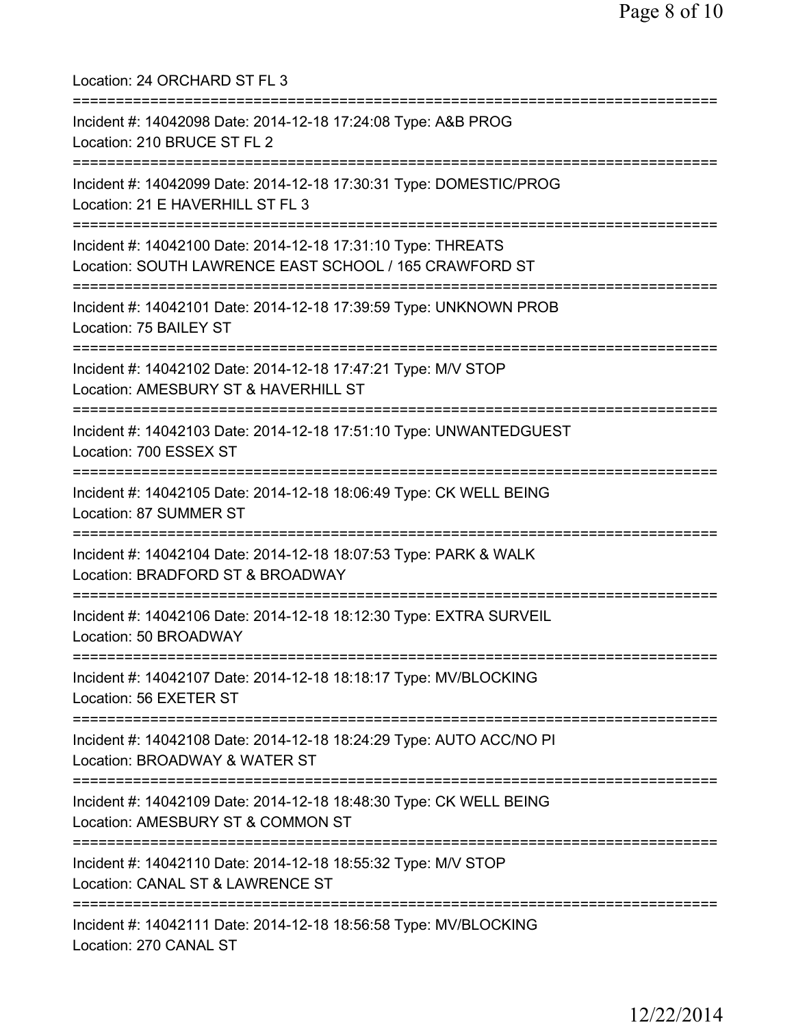Location: 24 ORCHARD ST FL 3 =========================================================================== Incident #: 14042098 Date: 2014-12-18 17:24:08 Type: A&B PROG Location: 210 BRUCE ST FL 2 =========================================================================== Incident #: 14042099 Date: 2014-12-18 17:30:31 Type: DOMESTIC/PROG Location: 21 E HAVERHILL ST FL 3 =========================================================================== Incident #: 14042100 Date: 2014-12-18 17:31:10 Type: THREATS Location: SOUTH LAWRENCE EAST SCHOOL / 165 CRAWFORD ST =========================================================================== Incident #: 14042101 Date: 2014-12-18 17:39:59 Type: UNKNOWN PROB Location: 75 BAILEY ST =========================================================================== Incident #: 14042102 Date: 2014-12-18 17:47:21 Type: M/V STOP Location: AMESBURY ST & HAVERHILL ST =========================================================================== Incident #: 14042103 Date: 2014-12-18 17:51:10 Type: UNWANTEDGUEST Location: 700 ESSEX ST =========================================================================== Incident #: 14042105 Date: 2014-12-18 18:06:49 Type: CK WELL BEING Location: 87 SUMMER ST =========================================================================== Incident #: 14042104 Date: 2014-12-18 18:07:53 Type: PARK & WALK Location: BRADFORD ST & BROADWAY =========================================================================== Incident #: 14042106 Date: 2014-12-18 18:12:30 Type: EXTRA SURVEIL Location: 50 BROADWAY =========================================================================== Incident #: 14042107 Date: 2014-12-18 18:18:17 Type: MV/BLOCKING Location: 56 EXETER ST =========================================================================== Incident #: 14042108 Date: 2014-12-18 18:24:29 Type: AUTO ACC/NO PI Location: BROADWAY & WATER ST =========================================================================== Incident #: 14042109 Date: 2014-12-18 18:48:30 Type: CK WELL BEING Location: AMESBURY ST & COMMON ST =========================================================================== Incident #: 14042110 Date: 2014-12-18 18:55:32 Type: M/V STOP Location: CANAL ST & LAWRENCE ST =========================================================================== Incident #: 14042111 Date: 2014-12-18 18:56:58 Type: MV/BLOCKING Location: 270 CANAL ST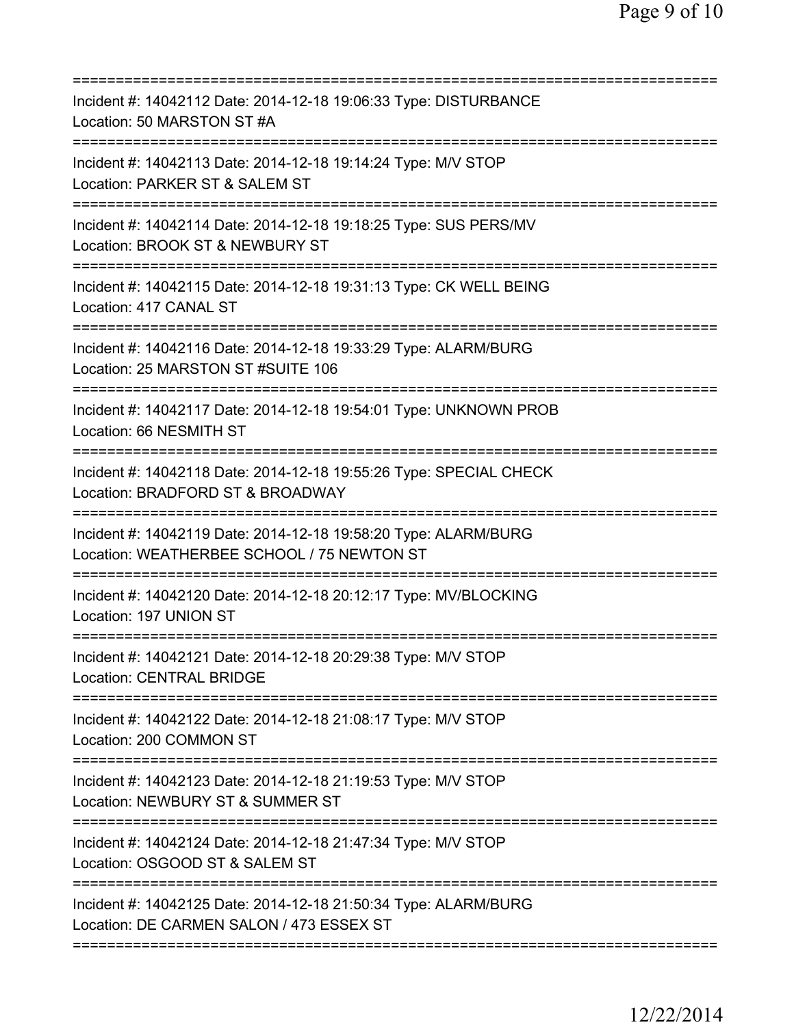| Incident #: 14042112 Date: 2014-12-18 19:06:33 Type: DISTURBANCE<br>Location: 50 MARSTON ST #A                                          |
|-----------------------------------------------------------------------------------------------------------------------------------------|
| Incident #: 14042113 Date: 2014-12-18 19:14:24 Type: M/V STOP<br>Location: PARKER ST & SALEM ST                                         |
| Incident #: 14042114 Date: 2014-12-18 19:18:25 Type: SUS PERS/MV<br>Location: BROOK ST & NEWBURY ST                                     |
| Incident #: 14042115 Date: 2014-12-18 19:31:13 Type: CK WELL BEING<br>Location: 417 CANAL ST                                            |
| Incident #: 14042116 Date: 2014-12-18 19:33:29 Type: ALARM/BURG<br>Location: 25 MARSTON ST #SUITE 106                                   |
| Incident #: 14042117 Date: 2014-12-18 19:54:01 Type: UNKNOWN PROB<br>Location: 66 NESMITH ST                                            |
| Incident #: 14042118 Date: 2014-12-18 19:55:26 Type: SPECIAL CHECK<br>Location: BRADFORD ST & BROADWAY<br>============================= |
| Incident #: 14042119 Date: 2014-12-18 19:58:20 Type: ALARM/BURG<br>Location: WEATHERBEE SCHOOL / 75 NEWTON ST                           |
| Incident #: 14042120 Date: 2014-12-18 20:12:17 Type: MV/BLOCKING<br>Location: 197 UNION ST                                              |
| Incident #: 14042121 Date: 2014-12-18 20:29:38 Type: M/V STOP<br><b>Location: CENTRAL BRIDGE</b>                                        |
| Incident #: 14042122 Date: 2014-12-18 21:08:17 Type: M/V STOP<br>Location: 200 COMMON ST                                                |
| Incident #: 14042123 Date: 2014-12-18 21:19:53 Type: M/V STOP<br>Location: NEWBURY ST & SUMMER ST                                       |
| Incident #: 14042124 Date: 2014-12-18 21:47:34 Type: M/V STOP<br>Location: OSGOOD ST & SALEM ST                                         |
| Incident #: 14042125 Date: 2014-12-18 21:50:34 Type: ALARM/BURG<br>Location: DE CARMEN SALON / 473 ESSEX ST                             |
|                                                                                                                                         |